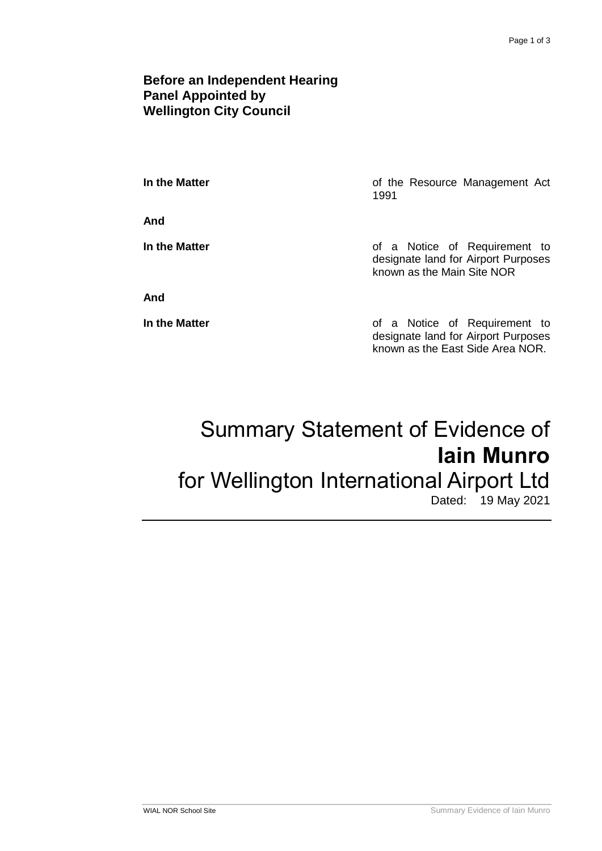### **Before an Independent Hearing Panel Appointed by Wellington City Council**

**In the Matter In the Matter of the Resource Management Act** 1991

**And**

**In the Matter In the Matter of a Notice of Requirement to** designate land for Airport Purposes known as the Main Site NOR

**And**

**In the Matter of a Notice of Requirement to** designate land for Airport Purposes known as the East Side Area NOR.

# Summary Statement of Evidence of **Iain Munro** for Wellington International Airport Ltd Dated: 19 May 2021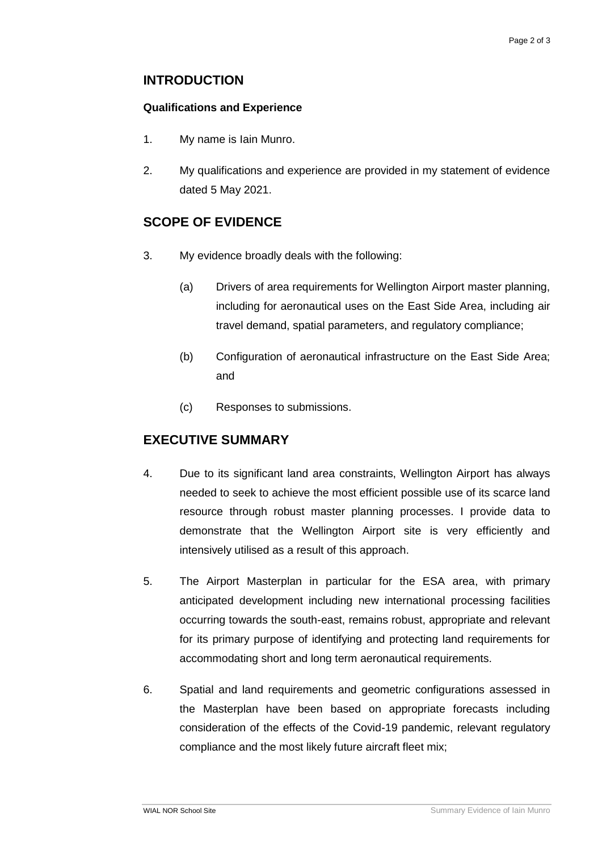## **INTRODUCTION**

#### **Qualifications and Experience**

- 1. My name is Iain Munro.
- 2. My qualifications and experience are provided in my statement of evidence dated 5 May 2021.

# **SCOPE OF EVIDENCE**

- 3. My evidence broadly deals with the following:
	- (a) Drivers of area requirements for Wellington Airport master planning, including for aeronautical uses on the East Side Area, including air travel demand, spatial parameters, and regulatory compliance;
	- (b) Configuration of aeronautical infrastructure on the East Side Area; and
	- (c) Responses to submissions.

## **EXECUTIVE SUMMARY**

- 4. Due to its significant land area constraints, Wellington Airport has always needed to seek to achieve the most efficient possible use of its scarce land resource through robust master planning processes. I provide data to demonstrate that the Wellington Airport site is very efficiently and intensively utilised as a result of this approach.
- 5. The Airport Masterplan in particular for the ESA area, with primary anticipated development including new international processing facilities occurring towards the south-east, remains robust, appropriate and relevant for its primary purpose of identifying and protecting land requirements for accommodating short and long term aeronautical requirements.
- 6. Spatial and land requirements and geometric configurations assessed in the Masterplan have been based on appropriate forecasts including consideration of the effects of the Covid-19 pandemic, relevant regulatory compliance and the most likely future aircraft fleet mix;